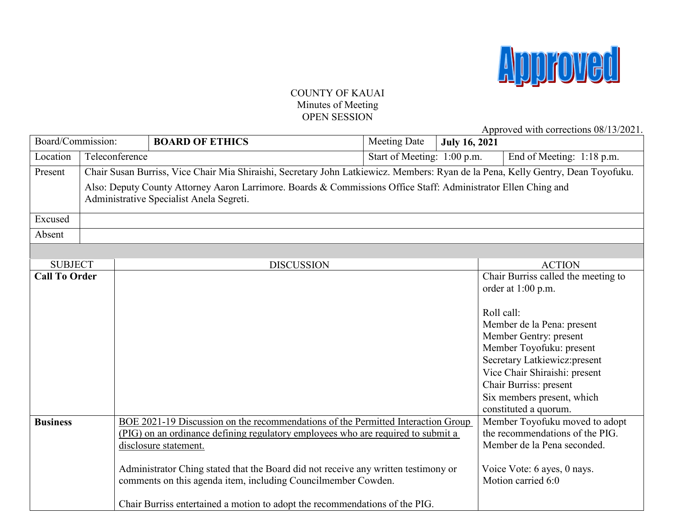

## COUNTY OF KAUAI Minutes of Meeting OPEN SESSION

Approved with corrections 08/13/2021.

| Board/Commission:                      |  |                                                                                                                                  | <b>BOARD OF ETHICS</b>                                                             | <b>Meeting Date</b> | <b>July 16, 2021</b>      | $1$ spproved with corrections of $15/202$            |  |  |
|----------------------------------------|--|----------------------------------------------------------------------------------------------------------------------------------|------------------------------------------------------------------------------------|---------------------|---------------------------|------------------------------------------------------|--|--|
| Location                               |  | Teleconference<br>Start of Meeting: 1:00 p.m.                                                                                    |                                                                                    |                     | End of Meeting: 1:18 p.m. |                                                      |  |  |
| Present                                |  | Chair Susan Burriss, Vice Chair Mia Shiraishi, Secretary John Latkiewicz. Members: Ryan de la Pena, Kelly Gentry, Dean Toyofuku. |                                                                                    |                     |                           |                                                      |  |  |
|                                        |  | Also: Deputy County Attorney Aaron Larrimore. Boards & Commissions Office Staff: Administrator Ellen Ching and                   |                                                                                    |                     |                           |                                                      |  |  |
|                                        |  | Administrative Specialist Anela Segreti.                                                                                         |                                                                                    |                     |                           |                                                      |  |  |
| Excused                                |  |                                                                                                                                  |                                                                                    |                     |                           |                                                      |  |  |
| Absent                                 |  |                                                                                                                                  |                                                                                    |                     |                           |                                                      |  |  |
|                                        |  |                                                                                                                                  |                                                                                    |                     |                           |                                                      |  |  |
|                                        |  |                                                                                                                                  |                                                                                    |                     |                           |                                                      |  |  |
| <b>SUBJECT</b><br><b>Call To Order</b> |  |                                                                                                                                  | <b>DISCUSSION</b>                                                                  |                     |                           | <b>ACTION</b><br>Chair Burriss called the meeting to |  |  |
|                                        |  |                                                                                                                                  |                                                                                    |                     |                           | order at 1:00 p.m.                                   |  |  |
|                                        |  |                                                                                                                                  |                                                                                    |                     |                           |                                                      |  |  |
|                                        |  |                                                                                                                                  |                                                                                    |                     |                           | Roll call:                                           |  |  |
|                                        |  |                                                                                                                                  |                                                                                    |                     |                           | Member de la Pena: present                           |  |  |
|                                        |  |                                                                                                                                  |                                                                                    |                     |                           | Member Gentry: present                               |  |  |
|                                        |  |                                                                                                                                  |                                                                                    |                     |                           | Member Toyofuku: present                             |  |  |
|                                        |  |                                                                                                                                  |                                                                                    |                     |                           | Secretary Latkiewicz: present                        |  |  |
|                                        |  |                                                                                                                                  |                                                                                    |                     |                           | Vice Chair Shiraishi: present                        |  |  |
|                                        |  |                                                                                                                                  |                                                                                    |                     |                           | Chair Burriss: present                               |  |  |
|                                        |  |                                                                                                                                  |                                                                                    |                     |                           | Six members present, which                           |  |  |
|                                        |  |                                                                                                                                  |                                                                                    |                     |                           | constituted a quorum.                                |  |  |
| <b>Business</b>                        |  |                                                                                                                                  | BOE 2021-19 Discussion on the recommendations of the Permitted Interaction Group   |                     |                           | Member Toyofuku moved to adopt                       |  |  |
|                                        |  |                                                                                                                                  | (PIG) on an ordinance defining regulatory employees who are required to submit a   |                     |                           | the recommendations of the PIG.                      |  |  |
|                                        |  |                                                                                                                                  | disclosure statement.                                                              |                     |                           | Member de la Pena seconded.                          |  |  |
|                                        |  |                                                                                                                                  | Administrator Ching stated that the Board did not receive any written testimony or |                     |                           | Voice Vote: 6 ayes, 0 nays.                          |  |  |
|                                        |  |                                                                                                                                  | comments on this agenda item, including Councilmember Cowden.                      |                     |                           | Motion carried 6:0                                   |  |  |
|                                        |  |                                                                                                                                  |                                                                                    |                     |                           |                                                      |  |  |
|                                        |  |                                                                                                                                  | Chair Burriss entertained a motion to adopt the recommendations of the PIG.        |                     |                           |                                                      |  |  |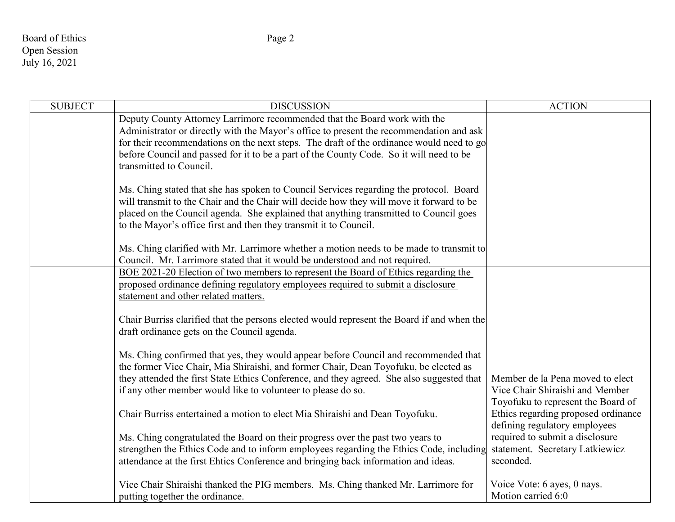## Board of Ethics Page 2 Open Session July 16, 2021

| <b>SUBJECT</b> | <b>DISCUSSION</b>                                                                                                                                                                                                                                                                                                                                                                      | <b>ACTION</b>                                                                                             |
|----------------|----------------------------------------------------------------------------------------------------------------------------------------------------------------------------------------------------------------------------------------------------------------------------------------------------------------------------------------------------------------------------------------|-----------------------------------------------------------------------------------------------------------|
|                | Deputy County Attorney Larrimore recommended that the Board work with the<br>Administrator or directly with the Mayor's office to present the recommendation and ask<br>for their recommendations on the next steps. The draft of the ordinance would need to go<br>before Council and passed for it to be a part of the County Code. So it will need to be<br>transmitted to Council. |                                                                                                           |
|                | Ms. Ching stated that she has spoken to Council Services regarding the protocol. Board<br>will transmit to the Chair and the Chair will decide how they will move it forward to be<br>placed on the Council agenda. She explained that anything transmitted to Council goes<br>to the Mayor's office first and then they transmit it to Council.                                       |                                                                                                           |
|                | Ms. Ching clarified with Mr. Larrimore whether a motion needs to be made to transmit to<br>Council. Mr. Larrimore stated that it would be understood and not required.                                                                                                                                                                                                                 |                                                                                                           |
|                | BOE 2021-20 Election of two members to represent the Board of Ethics regarding the<br>proposed ordinance defining regulatory employees required to submit a disclosure<br>statement and other related matters.                                                                                                                                                                         |                                                                                                           |
|                | Chair Burriss clarified that the persons elected would represent the Board if and when the<br>draft ordinance gets on the Council agenda.                                                                                                                                                                                                                                              |                                                                                                           |
|                | Ms. Ching confirmed that yes, they would appear before Council and recommended that<br>the former Vice Chair, Mia Shiraishi, and former Chair, Dean Toyofuku, be elected as                                                                                                                                                                                                            |                                                                                                           |
|                | they attended the first State Ethics Conference, and they agreed. She also suggested that<br>if any other member would like to volunteer to please do so.                                                                                                                                                                                                                              | Member de la Pena moved to elect<br>Vice Chair Shiraishi and Member<br>Toyofuku to represent the Board of |
|                | Chair Burriss entertained a motion to elect Mia Shiraishi and Dean Toyofuku.                                                                                                                                                                                                                                                                                                           | Ethics regarding proposed ordinance<br>defining regulatory employees                                      |
|                | Ms. Ching congratulated the Board on their progress over the past two years to<br>strengthen the Ethics Code and to inform employees regarding the Ethics Code, including<br>attendance at the first Ehtics Conference and bringing back information and ideas.                                                                                                                        | required to submit a disclosure<br>statement. Secretary Latkiewicz<br>seconded.                           |
|                | Vice Chair Shiraishi thanked the PIG members. Ms. Ching thanked Mr. Larrimore for<br>putting together the ordinance.                                                                                                                                                                                                                                                                   | Voice Vote: 6 ayes, 0 nays.<br>Motion carried 6:0                                                         |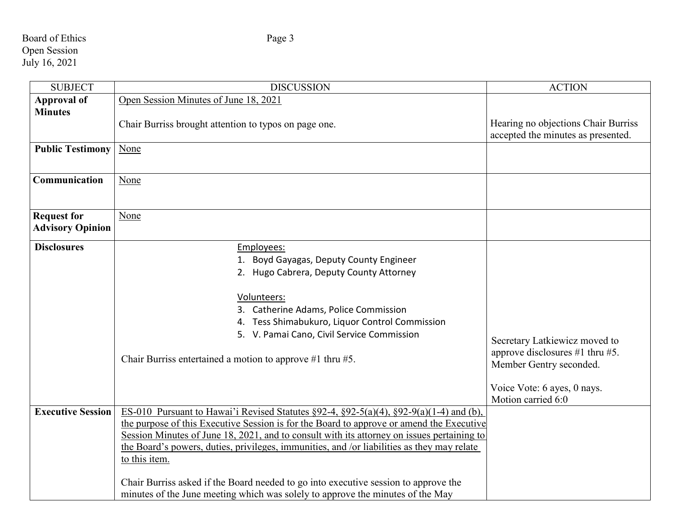## Board of Ethics Page 3 Open Session July 16, 2021

| <b>SUBJECT</b>                                | <b>DISCUSSION</b>                                                                                                                                                                                                                                                                                                                                                                                                                                                                                                                                                                      | <b>ACTION</b>                                                                                                                                         |
|-----------------------------------------------|----------------------------------------------------------------------------------------------------------------------------------------------------------------------------------------------------------------------------------------------------------------------------------------------------------------------------------------------------------------------------------------------------------------------------------------------------------------------------------------------------------------------------------------------------------------------------------------|-------------------------------------------------------------------------------------------------------------------------------------------------------|
| <b>Approval of</b>                            | Open Session Minutes of June 18, 2021                                                                                                                                                                                                                                                                                                                                                                                                                                                                                                                                                  |                                                                                                                                                       |
| <b>Minutes</b>                                | Chair Burriss brought attention to typos on page one.                                                                                                                                                                                                                                                                                                                                                                                                                                                                                                                                  | Hearing no objections Chair Burriss<br>accepted the minutes as presented.                                                                             |
| <b>Public Testimony</b>                       | None                                                                                                                                                                                                                                                                                                                                                                                                                                                                                                                                                                                   |                                                                                                                                                       |
| Communication                                 | None                                                                                                                                                                                                                                                                                                                                                                                                                                                                                                                                                                                   |                                                                                                                                                       |
| <b>Request for</b><br><b>Advisory Opinion</b> | None                                                                                                                                                                                                                                                                                                                                                                                                                                                                                                                                                                                   |                                                                                                                                                       |
| <b>Disclosures</b>                            | Employees:<br>1. Boyd Gayagas, Deputy County Engineer<br>2. Hugo Cabrera, Deputy County Attorney<br>Volunteers:<br>3. Catherine Adams, Police Commission<br>4. Tess Shimabukuro, Liquor Control Commission<br>5. V. Pamai Cano, Civil Service Commission<br>Chair Burriss entertained a motion to approve #1 thru #5.                                                                                                                                                                                                                                                                  | Secretary Latkiewicz moved to<br>approve disclosures $#1$ thru $#5$ .<br>Member Gentry seconded.<br>Voice Vote: 6 ayes, 0 nays.<br>Motion carried 6:0 |
| <b>Executive Session</b>                      | ES-010 Pursuant to Hawai'i Revised Statutes $\S 92-4$ , $\S 92-5(a)(4)$ , $\S 92-9(a)(1-4)$ and (b),<br>the purpose of this Executive Session is for the Board to approve or amend the Executive<br>Session Minutes of June 18, 2021, and to consult with its attorney on issues pertaining to<br>the Board's powers, duties, privileges, immunities, and /or liabilities as they may relate<br>to this item.<br>Chair Burriss asked if the Board needed to go into executive session to approve the<br>minutes of the June meeting which was solely to approve the minutes of the May |                                                                                                                                                       |